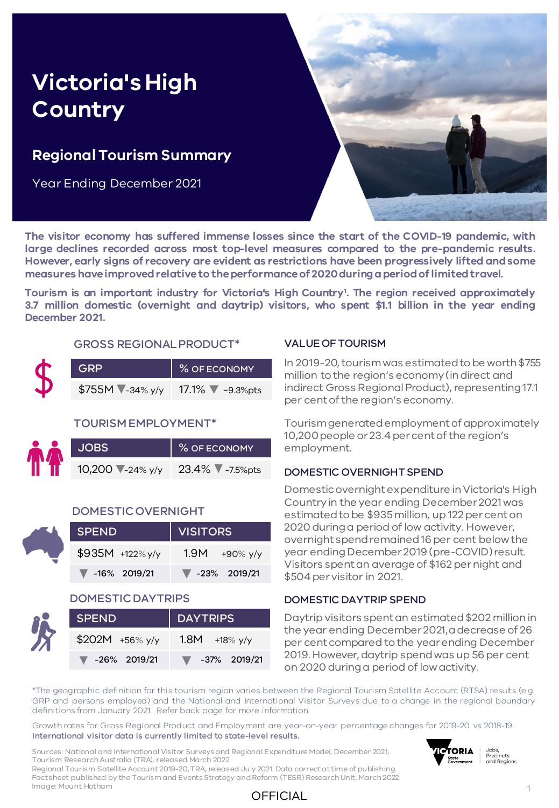# **Victoria's High Country**

### **Regional Tourism Summary**

Year Ending December 2021



**The visitor economy has suffered immense losses since the start of the COVID-19 pandemic, with large declines recorded across most top-level measures compared to the pre-pandemic results. However, early signs of recovery are evident as restrictions have been progressively lifted andsome measures haveimprovedrelativeto theperformanceof 2020duringaperiodoflimitedtravel.**

**Tourism is an important industry for Victoria's High Country<sup>1</sup> . The region received approximately 3.7 million domestic (overnight and daytrip) visitors, who spent \$1.1 billion in the year ending December 2021.**

#### GROSS REGIONAL PRODUCT\*

| <b>GRP</b>          | % OF ECONOMY                 |
|---------------------|------------------------------|
| $$755M$ $-34\%$ y/y | $17.1\%$ $\sqrt{ }$ -9.3%pts |

#### TOURISM EMPLOYMENT\*

| <b>JOBS</b>     | % OF ECONOMY    |  |  |  |  |
|-----------------|-----------------|--|--|--|--|
| 10,200 -24% y/y | 23.4% 7-7.5%pts |  |  |  |  |

#### DOMESTIC OVERNIGHT

| <b>SPEND</b>                      | <b>VISITORS</b>                   |  |  |  |  |
|-----------------------------------|-----------------------------------|--|--|--|--|
| $$935M +122\%$ y/y                | $1.9M + 90\%$ y/y                 |  |  |  |  |
| $\blacktriangledown$ -16% 2019/21 | $\blacktriangledown$ -23% 2019/21 |  |  |  |  |

#### DOMESTIC DAYTRIPS

| ٦ |
|---|
|   |
|   |
|   |

| <b>SPEND</b>                      | DAYTRIPS                          |  |  |  |  |
|-----------------------------------|-----------------------------------|--|--|--|--|
| $$202M + 56\%$ y/y                | 1.8M $+18\%$ y/y                  |  |  |  |  |
| $\blacktriangledown$ -26% 2019/21 | $\blacktriangledown$ -37% 2019/21 |  |  |  |  |

#### VALUE OF TOURISM

In 2019-20, tourism was estimated to be worth \$755 million to the region's economy (in direct and indirect Gross Regional Product), representing 17.1 per cent of the region's economy.

Tourism generated employment of approximately 10,200 people or 23.4 per cent of the region's employment.

#### DOMESTIC OVERNIGHT SPEND

Domestic overnight expenditure in Victoria's High Country in the year ending December 2021 was estimated to be \$935 million, up 122 per cent on 2020 during a period of low activity. However, overnight spend remained 16 per cent below the year ending December 2019 (pre-COVID) result. Visitors spent an average of \$162 per night and \$504 per visitor in 2021.

#### DOMESTIC DAYTRIP SPEND

Daytrip visitors spent an estimated \$202 million in the year ending December 2021, a decrease of 26 per cent compared to the year ending December 2019. However, daytrip spend was up 56 per cent on 2020 during a period of low activity.

\*The geographic definition for this tourism region varies between the Regional Tourism Satellite Account (RTSA) results (e.g. GRP and persons employed) and the National and International Visitor Surveys due to a change in the regional boundary definitions from January 2021. Refer back page for more information.

Growth rates for Gross Regional Product and Employment are year-on-year percentage changes for 2019-20 vs 2018-19. International visitor data is currently limited to state-level results.

Sources: National and International Visitor Surveys and Regional Expenditure Model, December 2021, Tourism Research Australia (TRA), released March 2022.

**ICTORIA** Jobs, Precincts State<br>Government and Regions

Regional Tourism Satellite Account 2019-20, TRA, released July 2021. Data correct at time of publishing. Factsheet published by the Tourism and Events Strategy and Reform (TESR) Research Unit, March 2022. Image: Mount Hotham

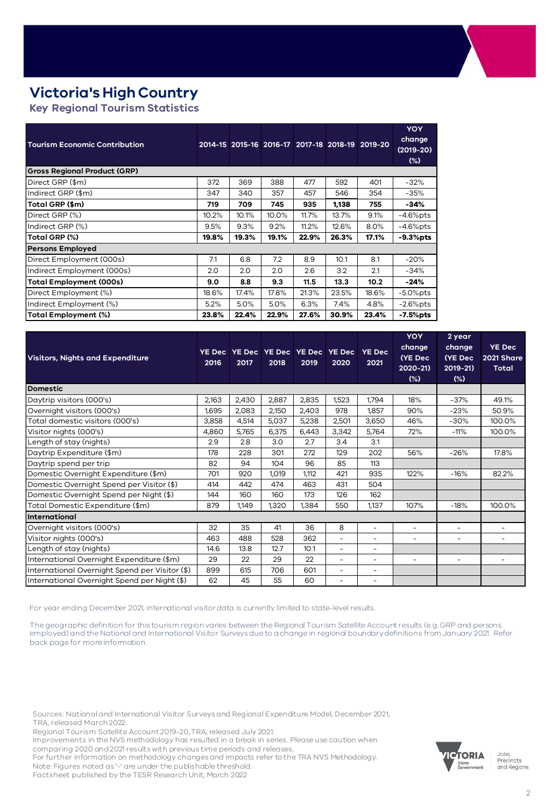## **Victoria's High Country**

**Key Regional Tourism Statistics** 

| <b>Tourism Economic Contribution</b> |       |       |       | 2014-15 2015-16 2016-17 2017-18 2018-19 |       | $2019 - 20$ | YOY<br>change<br>$(2019-20)$<br>$(\%)$ |
|--------------------------------------|-------|-------|-------|-----------------------------------------|-------|-------------|----------------------------------------|
| <b>Gross Regional Product (GRP)</b>  |       |       |       |                                         |       |             |                                        |
| Direct GRP (\$m)                     | 372   | 369   | 388   | 477                                     | 592   | 401         | $-32%$                                 |
| Indirect GRP (\$m)                   | 347   | 340   | 357   | 457                                     | 546   | 354         | $-35%$                                 |
| Total GRP (\$m)                      | 719   | 709   | 745   | 935                                     | 1,138 | 755         | $-34%$                                 |
| Direct GRP (%)                       | 10.2% | 10.1% | 10.0% | 11.7%                                   | 13.7% | 9.1%        | $-4.6\%$ pts                           |
| Indirect GRP (%)                     | 9.5%  | 9.3%  | 9.2%  | 11.2%                                   | 12.6% | 8.0%        | $-4.6%$ pts                            |
| Total GRP (%)                        |       | 19.3% | 19.1% | 22.9%                                   | 26.3% | 17.1%       | $-9.3%$ pts                            |
| <b>Persons Employed</b>              |       |       |       |                                         |       |             |                                        |
| Direct Employment (000s)             | 7.1   | 6.8   | 7.2   | 8.9                                     | 10.1  | 8.1         | $-20%$                                 |
| Indirect Employment (000s)           | 2.0   | 2.0   | 2.0   | 2.6                                     | 3.2   | 2.1         | $-34%$                                 |
| Total Employment (000s)              | 9.0   | 8.8   | 9.3   | 11.5                                    | 13.3  | 10.2        | $-24%$                                 |
| Direct Employment (%)                | 18.6% | 17.4% | 17.8% | 21.3%                                   | 23.5% | 18.6%       | $-5.0\%$ pts                           |
| Indirect Employment (%)              | 5.2%  | 5.0%  | 5.0%  | 6.3%                                    | 7.4%  | 4.8%        | $-2.6\%$ pts                           |
| Total Employment (%)                 | 23.8% | 22.4% | 22.9% | 27.6%                                   | 30.9% | 23.4%       | -7.5%pts                               |

| <b>Visitors, Nights and Expenditure</b>        |       | 2017  | 2018  | YE Dec YE Dec YE Dec YE Dec YE Dec<br>2019 | 2020  | <b>YE Dec</b><br>2021 | <b>YOY</b><br>change<br>(YE Dec<br>2020-21)<br>(%) | 2 year<br>change<br>(YE Dec<br>$2019 - 21$<br>$(\%)$ | <b>YE Dec</b><br>2021 Share<br><b>Total</b> |
|------------------------------------------------|-------|-------|-------|--------------------------------------------|-------|-----------------------|----------------------------------------------------|------------------------------------------------------|---------------------------------------------|
| <b>Domestic</b>                                |       |       |       |                                            |       |                       |                                                    |                                                      |                                             |
| Daytrip visitors (000's)                       | 2,163 | 2,430 | 2,887 | 2,835                                      | 1,523 | 1,794                 | 18%                                                | $-37%$                                               | 49.1%                                       |
| Overnight visitors (000's)                     | 1,695 | 2,083 | 2,150 | 2,403                                      | 978   | 1,857                 | 90%                                                | $-23%$                                               | 50.9%                                       |
| Total domestic visitors (000's)                | 3,858 | 4,514 | 5,037 | 5,238                                      | 2,501 | 3,650                 | 46%                                                | $-30%$                                               | 100.0%                                      |
| Visitor nights (000's)                         | 4,860 | 5,765 | 6,375 | 6,443                                      | 3,342 | 5,764                 | 72%                                                | $-11%$                                               | 100.0%                                      |
| Length of stay (nights)                        | 2.9   | 2.8   | 3.0   | 2.7                                        | 3.4   | 3.1                   |                                                    |                                                      |                                             |
| Daytrip Expenditure (\$m)                      | 178   | 228   | 301   | 272                                        | 129   | 202                   | 56%                                                | $-26%$                                               | 17.8%                                       |
| Daytrip spend per trip                         | 82    | 94    | 104   | 96                                         | 85    | 113                   |                                                    |                                                      |                                             |
| Domestic Overnight Expenditure (\$m)           | 701   | 920   | 1,019 | 1.112                                      | 421   | 935                   | 122%                                               | $-16%$                                               | 82.2%                                       |
| Domestic Overnight Spend per Visitor (\$)      | 414   | 442   | 474   | 463                                        | 431   | 504                   |                                                    |                                                      |                                             |
| Domestic Overnight Spend per Night (\$)        | 144   | 160   | 160   | 173                                        | 126   | 162                   |                                                    |                                                      |                                             |
| Total Domestic Expenditure (\$m)               | 879   | 1,149 | 1,320 | 1,384                                      | 550   | 1.137                 | 107%                                               | $-18%$                                               | 100.0%                                      |
| International                                  |       |       |       |                                            |       |                       |                                                    |                                                      |                                             |
| Overnight visitors (000's)                     | 32    | 35    | 41    | 36                                         | 8     | ٠                     | $\sim$                                             | $\overline{\phantom{a}}$                             |                                             |
| Visitor nights (000's)                         | 463   | 488   | 528   | 362                                        | ٠     | ۰                     | ۰                                                  | $\overline{\phantom{a}}$                             |                                             |
| Length of stay (nights)                        | 14.6  | 13.8  | 12.7  | 10.1                                       | ٠     | ۰                     |                                                    |                                                      |                                             |
| International Overnight Expenditure (\$m)      | 29    | 22    | 29    | 22                                         | ۰     | ۰                     | $\overline{\phantom{a}}$                           | $\overline{\phantom{a}}$                             |                                             |
| International Overnight Spend per Visitor (\$) | 899   | 615   | 706   | 601                                        | ۰     | -                     |                                                    |                                                      |                                             |
| International Overnight Spend per Night (\$)   | 62    | 45    | 55    | 60                                         | ۰     | -                     |                                                    |                                                      |                                             |

For year ending December 2021, international visitor data is currently limited to state-level results.

The geographic definition for this tourism region varies between the Regional Tourism Satellite Account results (e.g. GRP and persons employed) and the National and International Visitor Surveys due to a change in regional boundary definitions from January 2021. Refer back page for more information.

Sources: National and International Visitor Surveys and Regional Expenditure Model, December 2021, TRA, released March 2022.

Regional Tourism Satellite Account 2019-20, TRA, released July 2021.

Improvements in the NVS methodology has resulted in a break in series. Please use caution when comparing 2020 and 2021 results with previous time periods and releases.

For further information on methodology changes and impacts refer to the TRA NVS Methodology. Note: Figures noted as '-' are under the publishable threshold.

Factsheet published by the TESR Research Unit, March 2022